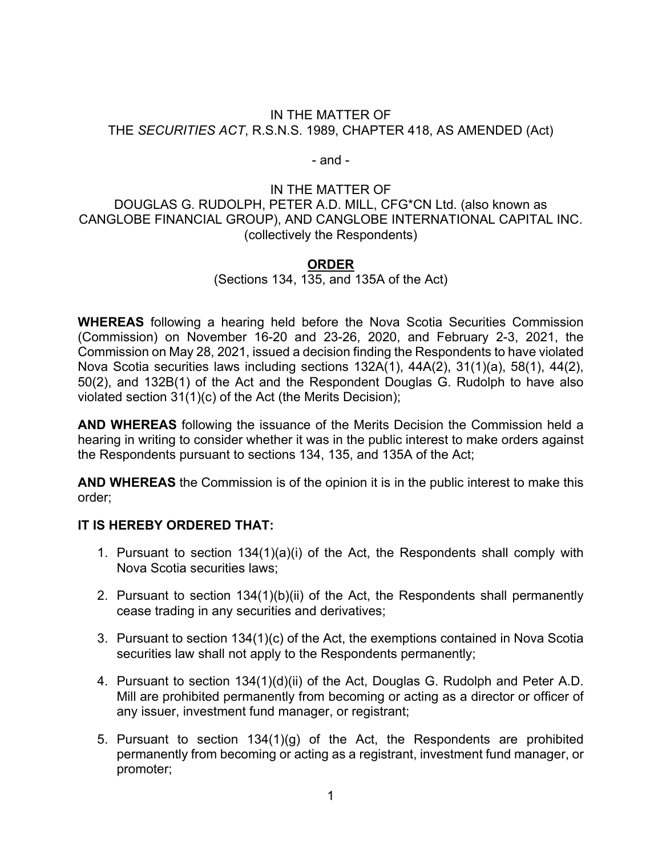#### IN THE MATTER OF THE *SECURITIES ACT*, R.S.N.S. 1989, CHAPTER 418, AS AMENDED (Act)

- and -

## IN THE MATTER OF DOUGLAS G. RUDOLPH, PETER A.D. MILL, CFG\*CN Ltd. (also known as CANGLOBE FINANCIAL GROUP), AND CANGLOBE INTERNATIONAL CAPITAL INC. (collectively the Respondents)

## **ORDER**

## (Sections 134, 135, and 135A of the Act)

**WHEREAS** following a hearing held before the Nova Scotia Securities Commission (Commission) on November 16-20 and 23-26, 2020, and February 2-3, 2021, the Commission on May 28, 2021, issued a decision finding the Respondents to have violated Nova Scotia securities laws including sections 132A(1), 44A(2), 31(1)(a), 58(1), 44(2), 50(2), and 132B(1) of the Act and the Respondent Douglas G. Rudolph to have also violated section 31(1)(c) of the Act (the Merits Decision);

**AND WHEREAS** following the issuance of the Merits Decision the Commission held a hearing in writing to consider whether it was in the public interest to make orders against the Respondents pursuant to sections 134, 135, and 135A of the Act;

**AND WHEREAS** the Commission is of the opinion it is in the public interest to make this order;

## **IT IS HEREBY ORDERED THAT:**

- 1. Pursuant to section 134(1)(a)(i) of the Act, the Respondents shall comply with Nova Scotia securities laws;
- 2. Pursuant to section 134(1)(b)(ii) of the Act, the Respondents shall permanently cease trading in any securities and derivatives;
- 3. Pursuant to section 134(1)(c) of the Act, the exemptions contained in Nova Scotia securities law shall not apply to the Respondents permanently;
- 4. Pursuant to section 134(1)(d)(ii) of the Act, Douglas G. Rudolph and Peter A.D. Mill are prohibited permanently from becoming or acting as a director or officer of any issuer, investment fund manager, or registrant;
- 5. Pursuant to section 134(1)(g) of the Act, the Respondents are prohibited permanently from becoming or acting as a registrant, investment fund manager, or promoter;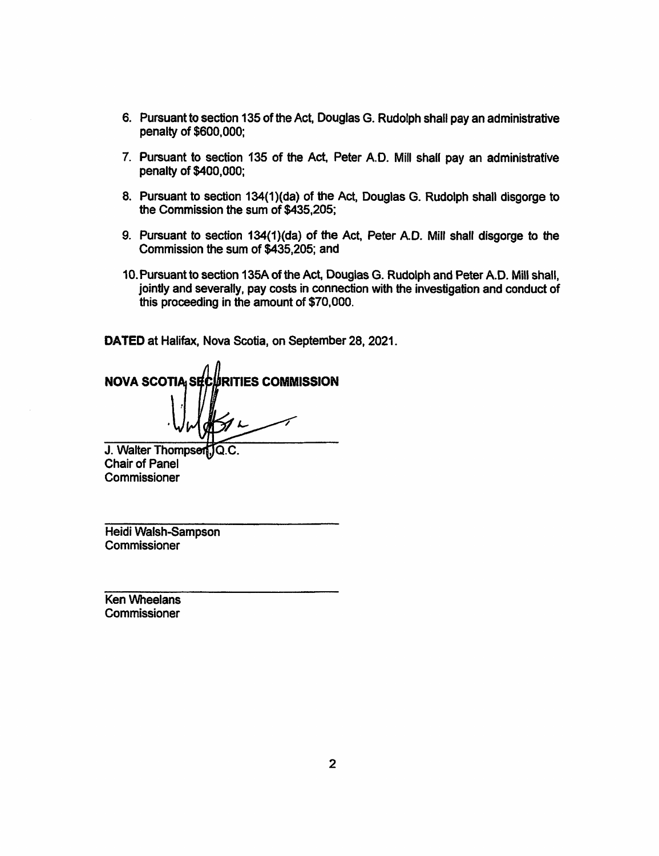- 6. Pursuant to section 135 of the Act, Douglas G. Rudolph shall pay an administrative penalty of \$600,000;
- 7. Pursuant to section 135 of the Act, Peter A.D. Mill shall pay an administrative penalty of \$400,000;
- 8. Pursuant to section 134(1)(da) of the Act, Douglas G. Rudolph shall disgorge to the Commission the sum of \$435,205;
- 9. Pursuant to section 134(1)(da) of the Act, Peter A.D. Mill shall disgorge to the Commission the sum of \$435,205; and
- 10. Pursuant to section 135A of the Act, Douglas G. Rudolph and Peter A.D. Mill shall, jointly and severally, pay costs in connection with the investigation and conduct of this proceeding in the amount of \$70,000.

DATED at Halifax, Nova Scotia, on September 28, 2021.

**URITIES COMMISSION NOVA SCOTIA SEC** 

J. Walter Thompsen, Q.C. **Chair of Panel** Commissioner

Heidi Walsh-Sampson Commissioner

**Ken Wheelans** Commissioner